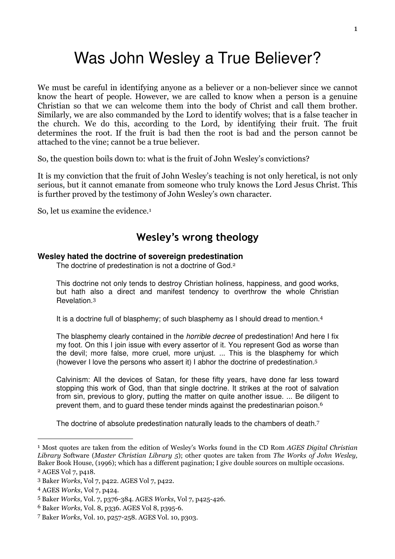# Was John Wesley a True Believer?

We must be careful in identifying anyone as a believer or a non-believer since we cannot know the heart of people. However, we are called to know when a person is a genuine Christian so that we can welcome them into the body of Christ and call them brother. Similarly, we are also commanded by the Lord to identify wolves; that is a false teacher in the church. We do this, according to the Lord, by identifying their fruit. The fruit determines the root. If the fruit is bad then the root is bad and the person cannot be attached to the vine; cannot be a true believer.

So, the question boils down to: what is the fruit of John Wesley's convictions?

It is my conviction that the fruit of John Wesley's teaching is not only heretical, is not only serious, but it cannot emanate from someone who truly knows the Lord Jesus Christ. This is further proved by the testimony of John Wesley's own character.

So, let us examine the evidence.<sup>1</sup>

## Wesley's wrong theology

### **Wesley hated the doctrine of sovereign predestination**

The doctrine of predestination is not a doctrine of God.<sup>2</sup>

This doctrine not only tends to destroy Christian holiness, happiness, and good works, but hath also a direct and manifest tendency to overthrow the whole Christian Revelation.<sup>3</sup>

It is a doctrine full of blasphemy; of such blasphemy as I should dread to mention.<sup>4</sup>

The blasphemy clearly contained in the *horrible decree* of predestination! And here I fix my foot. On this I join issue with every assertor of it. You represent God as worse than the devil; more false, more cruel, more unjust. ... This is the blasphemy for which (however I love the persons who assert it) I abhor the doctrine of predestination.<sup>5</sup>

Calvinism: All the devices of Satan, for these fifty years, have done far less toward stopping this work of God, than that single doctrine. It strikes at the root of salvation from sin, previous to glory, putting the matter on quite another issue. ... Be diligent to prevent them, and to quard these tender minds against the predestinarian poison.<sup>6</sup>

The doctrine of absolute predestination naturally leads to the chambers of death.<sup>7</sup>

<sup>&</sup>lt;sup>1</sup> Most quotes are taken from the edition of Wesley's Works found in the CD Rom AGES Digital Christian Library Software (Master Christian Library 5); other quotes are taken from The Works of John Wesley, Baker Book House, (1996); which has a different pagination; I give double sources on multiple occasions.

<sup>2</sup> AGES Vol 7, p418.

<sup>3</sup> Baker Works, Vol 7, p422. AGES Vol 7, p422.

<sup>4</sup> AGES Works, Vol 7, p424.

<sup>5</sup> Baker Works, Vol. 7, p376-384. AGES Works, Vol 7, p425-426.

<sup>6</sup> Baker Works, Vol. 8, p336. AGES Vol 8, p395-6.

<sup>7</sup> Baker Works, Vol. 10, p257-258. AGES Vol. 10, p303.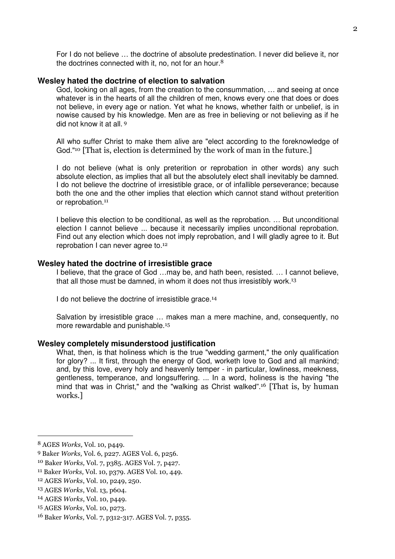For I do not believe … the doctrine of absolute predestination. I never did believe it, nor the doctrines connected with it, no, not for an hour.<sup>8</sup>

#### **Wesley hated the doctrine of election to salvation**

God, looking on all ages, from the creation to the consummation, … and seeing at once whatever is in the hearts of all the children of men, knows every one that does or does not believe, in every age or nation. Yet what he knows, whether faith or unbelief, is in nowise caused by his knowledge. Men are as free in believing or not believing as if he did not know it at all.<sup>9</sup>

All who suffer Christ to make them alive are "elect according to the foreknowledge of God."<sup>10</sup> [That is, election is determined by the work of man in the future.]

I do not believe (what is only preterition or reprobation in other words) any such absolute election, as implies that all but the absolutely elect shall inevitably be damned. I do not believe the doctrine of irresistible grace, or of infallible perseverance; because both the one and the other implies that election which cannot stand without preterition or reprobation.<sup>11</sup>

I believe this election to be conditional, as well as the reprobation. … But unconditional election I cannot believe ... because it necessarily implies unconditional reprobation. Find out any election which does not imply reprobation, and I will gladly agree to it. But reprobation I can never agree to.<sup>12</sup>

#### **Wesley hated the doctrine of irresistible grace**

I believe, that the grace of God …may be, and hath been, resisted. … I cannot believe, that all those must be damned, in whom it does not thus irresistibly work.<sup>13</sup>

I do not believe the doctrine of irresistible grace.<sup>14</sup>

Salvation by irresistible grace … makes man a mere machine, and, consequently, no more rewardable and punishable.<sup>15</sup>

#### **Wesley completely misunderstood justification**

What, then, is that holiness which is the true "wedding garment," the only qualification for glory? ... It first, through the energy of God, worketh love to God and all mankind; and, by this love, every holy and heavenly temper - in particular, lowliness, meekness, gentleness, temperance, and longsuffering. ... In a word, holiness is the having "the mind that was in Christ," and the "walking as Christ walked".<sup>16</sup> [That is, by human works.]

<sup>-</sup>

<sup>8</sup> AGES Works, Vol. 10, p449.

<sup>9</sup> Baker Works, Vol. 6, p227. AGES Vol. 6, p256.

<sup>10</sup> Baker Works, Vol. 7, p385. AGES Vol. 7, p427.

<sup>11</sup> Baker Works, Vol. 10, p379. AGES Vol. 10, 449.

<sup>12</sup> AGES Works, Vol. 10, p249, 250.

<sup>13</sup> AGES Works, Vol. 13, p604.

<sup>14</sup> AGES Works, Vol. 10, p449.

<sup>15</sup> AGES Works, Vol. 10, p273.

<sup>16</sup> Baker Works, Vol. 7, p312-317. AGES Vol. 7, p355.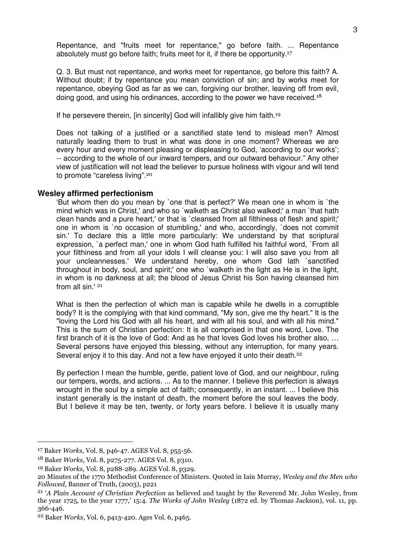Repentance, and "fruits meet for repentance," go before faith. ... Repentance absolutely must go before faith; fruits meet for it, if there be opportunity.<sup>17</sup>

Q. 3. But must not repentance, and works meet for repentance, go before this faith? A. Without doubt; if by repentance you mean conviction of sin; and by works meet for repentance, obeying God as far as we can, forgiving our brother, leaving off from evil, doing good, and using his ordinances, according to the power we have received.<sup>18</sup>

If he persevere therein, [in sincerity] God will infallibly give him faith.<sup>19</sup>

Does not talking of a justified or a sanctified state tend to mislead men? Almost naturally leading them to trust in what was done in one moment? Whereas we are every hour and every moment pleasing or displeasing to God, 'according to our works'; -- according to the whole of our inward tempers, and our outward behaviour." Any other view of justification will not lead the believer to pursue holiness with vigour and will tend to promote "careless living".<sup>20</sup>

#### **Wesley affirmed perfectionism**

'But whom then do you mean by `one that is perfect?' We mean one in whom is `the mind which was in Christ,' and who so `walketh as Christ also walked;' a man `that hath clean hands and a pure heart,' or that is `cleansed from all filthiness of flesh and spirit;' one in whom is `no occasion of stumbling,' and who, accordingly, `does not commit sin.' To declare this a little more particularly: We understand by that scriptural expression, `a perfect man,' one in whom God hath fulfilled his faithful word, `From all your filthiness and from all your idols I will cleanse you: I will also save you from all your uncleannesses.' We understand hereby, one whom God lath `sanctified throughout in body, soul, and spirit;' one who `walketh in the light as He is in the light, in whom is no darkness at all; the blood of Jesus Christ his Son having cleansed him from all sin.' <sup>21</sup>

What is then the perfection of which man is capable while he dwells in a corruptible body? It is the complying with that kind command, "My son, give me thy heart." It is the "loving the Lord his God with all his heart, and with all his soul, and with all his mind." This is the sum of Christian perfection: It is all comprised in that one word, Love. The first branch of it is the love of God: And as he that loves God loves his brother also, … Several persons have enjoyed this blessing, without any interruption, for many years. Several enjoy it to this day. And not a few have enjoyed it unto their death.<sup>22</sup>

By perfection I mean the humble, gentle, patient love of God, and our neighbour, ruling our tempers, words, and actions. ... As to the manner. I believe this perfection is always wrought in the soul by a simple act of faith; consequently, in an instant. ... I believe this instant generally is the instant of death, the moment before the soul leaves the body. But I believe it may be ten, twenty, or forty years before. I believe it is usually many

<sup>17</sup> Baker Works, Vol. 8, p46-47. AGES Vol. 8, p55-56.

<sup>18</sup> Baker Works, Vol. 8, p275-277. AGES Vol. 8, p310.

<sup>19</sup> Baker Works, Vol. 8, p288-289. AGES Vol. 8, p329.

<sup>20</sup> Minutes of the 1770 Methodist Conference of Ministers. Quoted in Iain Murray, Wesley and the Men who Followed, Banner of Truth, (2003), p221

<sup>&</sup>lt;sup>21</sup> 'A Plain Account of Christian Perfection as believed and taught by the Reverend Mr. John Wesley, from the year 1725, to the year 1777,' 15:4. The Works of John Wesley (1872 ed. by Thomas Jackson), vol. 11, pp. 366-446.

<sup>22</sup> Baker Works, Vol. 6, p413-420. Ages Vol. 6, p465.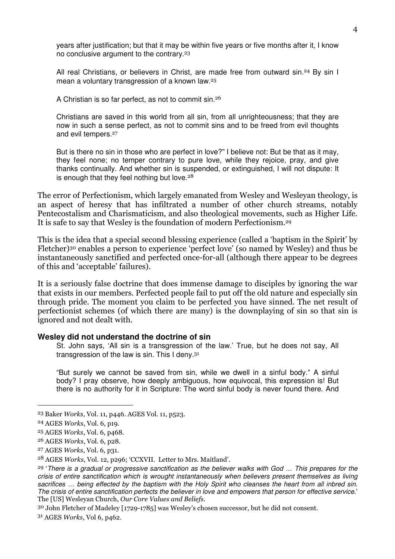years after justification; but that it may be within five years or five months after it, I know no conclusive argument to the contrary.<sup>23</sup>

All real Christians, or believers in Christ, are made free from outward sin.<sup>24</sup> By sin I mean a voluntary transgression of a known law.<sup>25</sup>

A Christian is so far perfect, as not to commit sin.<sup>26</sup>

Christians are saved in this world from all sin, from all unrighteousness; that they are now in such a sense perfect, as not to commit sins and to be freed from evil thoughts and evil tempers.<sup>27</sup>

But is there no sin in those who are perfect in love?" I believe not: But be that as it may, they feel none; no temper contrary to pure love, while they rejoice, pray, and give thanks continually. And whether sin is suspended, or extinguished, I will not dispute: It is enough that they feel nothing but love. $28$ 

The error of Perfectionism, which largely emanated from Wesley and Wesleyan theology, is an aspect of heresy that has infiltrated a number of other church streams, notably Pentecostalism and Charismaticism, and also theological movements, such as Higher Life. It is safe to say that Wesley is the foundation of modern Perfectionism.<sup>29</sup>

This is the idea that a special second blessing experience (called a 'baptism in the Spirit' by Fletcher)30 enables a person to experience 'perfect love' (so named by Wesley) and thus be instantaneously sanctified and perfected once-for-all (although there appear to be degrees of this and 'acceptable' failures).

It is a seriously false doctrine that does immense damage to disciples by ignoring the war that exists in our members. Perfected people fail to put off the old nature and especially sin through pride. The moment you claim to be perfected you have sinned. The net result of perfectionist schemes (of which there are many) is the downplaying of sin so that sin is ignored and not dealt with.

#### **Wesley did not understand the doctrine of sin**

St. John says, 'All sin is a transgression of the law.' True, but he does not say, All transgression of the law is sin. This I deny.<sup>31</sup>

"But surely we cannot be saved from sin, while we dwell in a sinful body." A sinful body? I pray observe, how deeply ambiguous, how equivocal, this expression is! But there is no authority for it in Scripture: The word sinful body is never found there. And

 $\overline{a}$ 

30 John Fletcher of Madeley [1729-1785] was Wesley's chosen successor, but he did not consent.

31 AGES Works, Vol 6, p462.

<sup>23</sup> Baker Works, Vol. 11, p446. AGES Vol. 11, p523.

<sup>24</sup> AGES Works, Vol. 6, p19.

<sup>25</sup> AGES Works, Vol. 6, p468.

<sup>26</sup> AGES Works, Vol. 6, p28.

<sup>27</sup> AGES Works, Vol. 6, p31.

<sup>28</sup> AGES Works, Vol. 12, p296; 'CCXVII. Letter to Mrs. Maitland'.

<sup>&</sup>lt;sup>29</sup> 'There is a gradual or progressive sanctification as the believer walks with God ... This prepares for the crisis of entire sanctification which is wrought instantaneously when believers present themselves as living sacrifices ... being effected by the baptism with the Holy Spirit who cleanses the heart from all inbred sin. The crisis of entire sanctification perfects the believer in love and empowers that person for effective service.' The [US] Wesleyan Church, Our Core Values and Beliefs.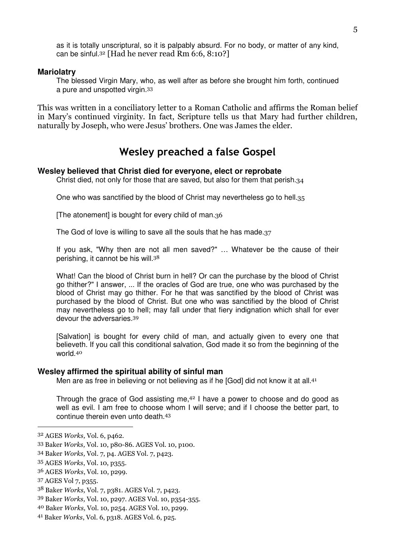as it is totally unscriptural, so it is palpably absurd. For no body, or matter of any kind, can be sinful.<sup>32</sup> [Had he never read Rm  $6:6, 8:10$ ?]

#### **Mariolatry**

The blessed Virgin Mary, who, as well after as before she brought him forth, continued a pure and unspotted virgin.<sup>33</sup>

This was written in a conciliatory letter to a Roman Catholic and affirms the Roman belief in Mary's continued virginity. In fact, Scripture tells us that Mary had further children, naturally by Joseph, who were Jesus' brothers. One was James the elder.

## Wesley preached a false Gospel

#### **Wesley believed that Christ died for everyone, elect or reprobate**

Christ died, not only for those that are saved, but also for them that perish.34

One who was sanctified by the blood of Christ may nevertheless go to hell.35

[The atonement] is bought for every child of man.36

The God of love is willing to save all the souls that he has made.37

If you ask, "Why then are not all men saved?" … Whatever be the cause of their perishing, it cannot be his will.<sup>38</sup>

What! Can the blood of Christ burn in hell? Or can the purchase by the blood of Christ go thither?" I answer, ... If the oracles of God are true, one who was purchased by the blood of Christ may go thither. For he that was sanctified by the blood of Christ was purchased by the blood of Christ. But one who was sanctified by the blood of Christ may nevertheless go to hell; may fall under that fiery indignation which shall for ever devour the adversaries.<sup>39</sup>

[Salvation] is bought for every child of man, and actually given to every one that believeth. If you call this conditional salvation, God made it so from the beginning of the world.<sup>40</sup>

#### **Wesley affirmed the spiritual ability of sinful man**

Men are as free in believing or not believing as if he [God] did not know it at all.<sup>41</sup>

Through the grace of God assisting me, $42$  I have a power to choose and do good as well as evil. I am free to choose whom I will serve; and if I choose the better part, to continue therein even unto death.<sup>43</sup>

<sup>32</sup> AGES Works, Vol. 6, p462.

<sup>33</sup> Baker Works, Vol. 10, p80-86. AGES Vol. 10, p100.

<sup>34</sup> Baker Works, Vol. 7, p4. AGES Vol. 7, p423.

<sup>35</sup> AGES Works, Vol. 10, p355.

<sup>36</sup> AGES Works, Vol. 10, p299.

<sup>37</sup> AGES Vol 7, p355.

<sup>38</sup> Baker Works, Vol. 7, p381. AGES Vol. 7, p423.

<sup>39</sup> Baker Works, Vol. 10, p297. AGES Vol. 10, p354-355.

<sup>40</sup> Baker Works, Vol. 10, p254. AGES Vol. 10, p299.

<sup>41</sup> Baker Works, Vol. 6, p318. AGES Vol. 6, p25.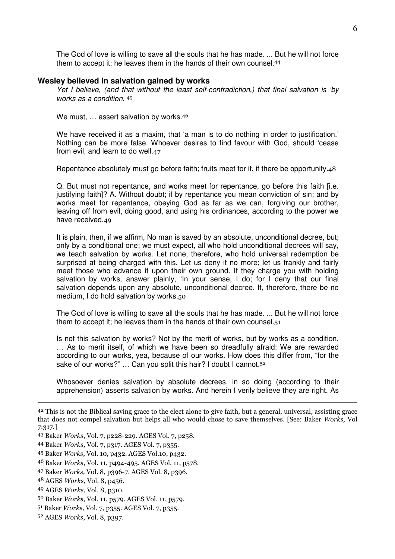The God of love is willing to save all the souls that he has made. ... But he will not force them to accept it; he leaves them in the hands of their own counsel.<sup>44</sup>

#### **Wesley believed in salvation gained by works**

Yet I believe, (and that without the least self-contradiction,) that final salvation is 'by works as a condition. <sup>45</sup>

We must, ... assert salvation by works.<sup>46</sup>

We have received it as a maxim, that 'a man is to do nothing in order to justification.' Nothing can be more false. Whoever desires to find favour with God, should 'cease from evil, and learn to do well.47

Repentance absolutely must go before faith; fruits meet for it, if there be opportunity.48

Q. But must not repentance, and works meet for repentance, go before this faith [i.e. justifying faith]? A. Without doubt; if by repentance you mean conviction of sin; and by works meet for repentance, obeying God as far as we can, forgiving our brother, leaving off from evil, doing good, and using his ordinances, according to the power we have received.49

It is plain, then, if we affirm, No man is saved by an absolute, unconditional decree, but; only by a conditional one; we must expect, all who hold unconditional decrees will say, we teach salvation by works. Let none, therefore, who hold universal redemption be surprised at being charged with this. Let us deny it no more; let us frankly and fairly meet those who advance it upon their own ground. If they charge you with holding salvation by works, answer plainly, 'In your sense, I do; for I deny that our final salvation depends upon any absolute, unconditional decree. If, therefore, there be no medium, I do hold salvation by works.50

The God of love is willing to save all the souls that he has made. ... But he will not force them to accept it; he leaves them in the hands of their own counsel. $51$ 

Is not this salvation by works? Not by the merit of works, but by works as a condition. … As to merit itself, of which we have been so dreadfully afraid: We are rewarded according to our works, yea, because of our works. How does this differ from, "for the sake of our works?" ... Can you split this hair? I doubt I cannot.<sup>52</sup>

Whosoever denies salvation by absolute decrees, in so doing (according to their apprehension) asserts salvation by works. And herein I verily believe they are right. As

 $\overline{a}$ 

50 Baker Works, Vol. 11, p579. AGES Vol. 11, p579.

<sup>42</sup> This is not the Biblical saving grace to the elect alone to give faith, but a general, universal, assisting grace that does not compel salvation but helps all who would chose to save themselves. [See: Baker Works, Vol 7:317.]

<sup>43</sup> Baker Works, Vol. 7, p228-229. AGES Vol. 7, p258.

<sup>44</sup> Baker Works, Vol. 7, p317. AGES Vol. 7, p355.

<sup>45</sup> Baker Works, Vol. 10, p432. AGES Vol.10, p432.

<sup>46</sup> Baker Works, Vol. 11, p494-495. AGES Vol. 11, p578.

<sup>47</sup> Baker Works, Vol. 8, p396-7. AGES Vol. 8, p396.

<sup>48</sup> AGES Works, Vol. 8, p456.

<sup>49</sup> AGES Works, Vol. 8, p310.

<sup>51</sup> Baker Works, Vol. 7, p355. AGES Vol. 7, p355.

<sup>52</sup> AGES Works, Vol. 8, p397.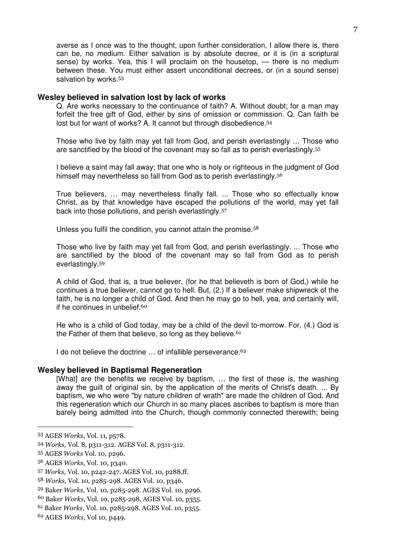averse as I once was to the thought, upon further consideration, I allow there is, there can be, no medium. Either salvation is by absolute decree, or it is (in a scriptural sense) by works. Yea, this I will proclaim on the housetop, — there is no medium between these. You must either assert unconditional decrees, or (in a sound sense) salvation by works.<sup>53</sup>

#### **Wesley believed in salvation lost by lack of works**

Q. Are works necessary to the continuance of faith? A. Without doubt; for a man may forfeit the free gift of God, either by sins of omission or commission. Q. Can faith be lost but for want of works? A. It cannot but through disobedience.<sup>54</sup>

Those who live by faith may yet fall from God, and perish everlastingly … Those who are sanctified by the blood of the covenant may so fall as to perish everlastingly.<sup>55</sup>

I believe a saint may fall away; that one who is holy or righteous in the judgment of God himself may nevertheless so fall from God as to perish everlastingly.<sup>56</sup>

True believers, … may nevertheless finally fall. ... Those who so effectually know Christ, as by that knowledge have escaped the pollutions of the world, may yet fall back into those pollutions, and perish everlastingly.<sup>57</sup>

Unless you fulfil the condition, you cannot attain the promise.<sup>58</sup>

Those who live by faith may yet fall from God, and perish everlastingly. ... Those who are sanctified by the blood of the covenant may so fall from God as to perish everlastingly.<sup>59</sup>

A child of God, that is, a true believer, (for he that believeth is born of God,) while he continues a true believer, cannot go to hell. But, (2.) If a believer make shipwreck of the faith, he is no longer a child of God. And then he may go to hell, yea, and certainly will, if he continues in unbelief.<sup>60</sup>

He who is a child of God today, may be a child of the devil to-morrow. For, (4.) God is the Father of them that believe, so long as they believe.  $61$ 

I do not believe the doctrine ... of infallible perseverance.<sup>62</sup>

#### **Wesley believed in Baptismal Regeneration**

[What] are the benefits we receive by baptism, … the first of these is, the washing away the guilt of original sin, by the application of the merits of Christ's death. ... By baptism, we who were "by nature children of wrath" are made the children of God. And this regeneration which our Church in so many places ascribes to baptism is more than barely being admitted into the Church, though commonly connected therewith; being

<sup>53</sup> AGES Works, Vol. 11, p578.

<sup>54</sup> Works, Vol. 8, p311-312. AGES Vol. 8, p311-312.

<sup>55</sup> AGES Works Vol. 10, p296.

<sup>56</sup> AGES Works, Vol. 10, p340.

<sup>57</sup> Works, Vol. 10, p242-247. AGES Vol. 10, p288,ff.

<sup>58</sup> Works, Vol. 10, p285-298. AGES Vol. 10, p346.

<sup>59</sup> Baker Works, Vol. 10, p285-298. AGES Vol. 10, p296.

<sup>60</sup> Baker Works, Vol. 10, p285-298. AGES Vol. 10, p355.

<sup>61</sup> Baker Works, Vol. 10, p285-298. AGES Vol. 10, p355.

<sup>62</sup> AGES Works, Vol 10, p449.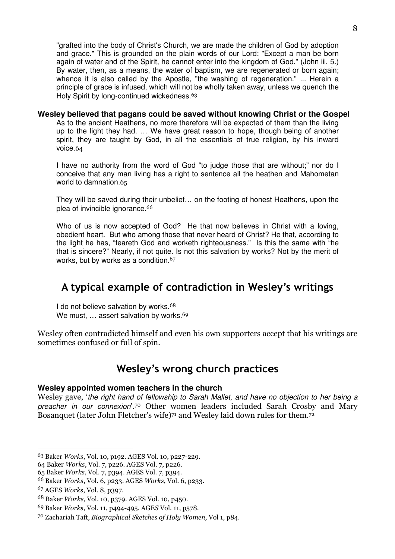"grafted into the body of Christ's Church, we are made the children of God by adoption and grace." This is grounded on the plain words of our Lord: "Except a man be born again of water and of the Spirit, he cannot enter into the kingdom of God." (John iii. 5.) By water, then, as a means, the water of baptism, we are regenerated or born again; whence it is also called by the Apostle, "the washing of regeneration." ... Herein a principle of grace is infused, which will not be wholly taken away, unless we quench the Holy Spirit by long-continued wickedness.<sup>63</sup>

## **Wesley believed that pagans could be saved without knowing Christ or the Gospel**

As to the ancient Heathens, no more therefore will be expected of them than the living up to the light they had. … We have great reason to hope, though being of another spirit, they are taught by God, in all the essentials of true religion, by his inward voice.64

I have no authority from the word of God "to judge those that are without;" nor do I conceive that any man living has a right to sentence all the heathen and Mahometan world to damnation.65

They will be saved during their unbelief… on the footing of honest Heathens, upon the plea of invincible ignorance.<sup>66</sup>

Who of us is now accepted of God? He that now believes in Christ with a loving, obedient heart. But who among those that never heard of Christ? He that, according to the light he has, "feareth God and worketh righteousness." Is this the same with "he that is sincere?" Nearly, if not quite. Is not this salvation by works? Not by the merit of works, but by works as a condition.<sup>67</sup>

## A typical example of contradiction in Wesley's writings

I do not believe salvation by works.<sup>68</sup> We must, ... assert salvation by works.<sup>69</sup>

Wesley often contradicted himself and even his own supporters accept that his writings are sometimes confused or full of spin.

## Wesley's wrong church practices

## **Wesley appointed women teachers in the church**

Wesley gave, 'the right hand of fellowship to Sarah Mallet, and have no objection to her being a preacher in our connexion'.70 Other women leaders included Sarah Crosby and Mary Bosanquet (later John Fletcher's wife)<sup>71</sup> and Wesley laid down rules for them.<sup>72</sup>

<sup>63</sup> Baker Works, Vol. 10, p192. AGES Vol. 10, p227-229.

<sup>64</sup> Baker Works, Vol. 7, p226. AGES Vol. 7, p226.

<sup>65</sup> Baker Works, Vol. 7, p394. AGES Vol. 7, p394.

<sup>66</sup> Baker Works, Vol. 6, p233. AGES Works, Vol. 6, p233.

<sup>67</sup> AGES Works, Vol. 8, p397.

<sup>68</sup> Baker Works, Vol. 10, p379. AGES Vol. 10, p450.

<sup>69</sup> Baker Works, Vol. 11, p494-495. AGES Vol. 11, p578.

<sup>70</sup> Zachariah Taft, Biographical Sketches of Holy Women, Vol 1, p84.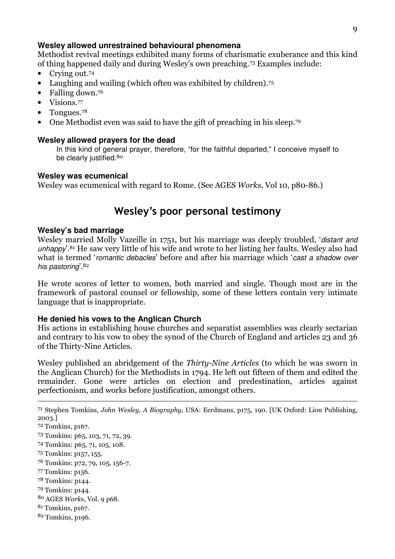### **Wesley allowed unrestrained behavioural phenomena**

Methodist revival meetings exhibited many forms of charismatic exuberance and this kind of thing happened daily and during Wesley's own preaching.73 Examples include:

- Crying out.<sup>74</sup>
- Laughing and wailing (which often was exhibited by children).<sup>75</sup>
- Falling down.76
- Visions.77
- Tongues.78
- One Methodist even was said to have the gift of preaching in his sleep.<sup>79</sup>

#### **Wesley allowed prayers for the dead**

In this kind of general prayer, therefore, "for the faithful departed," I conceive myself to be clearly justified.<sup>80</sup>

#### **Wesley was ecumenical**

Wesley was ecumenical with regard to Rome. (See AGES Works, Vol 10, p80-86.)

## Wesley's poor personal testimony

#### **Wesley's bad marriage**

 $\overline{a}$ 

Wesley married Molly Vazeille in 1751, but his marriage was deeply troubled, 'distant and unhappy'.<sup>81</sup> He saw very little of his wife and wrote to her listing her faults. Wesley also had what is termed 'romantic debacles' before and after his marriage which 'cast a shadow over his pastoring, 82

He wrote scores of letter to women, both married and single. Though most are in the framework of pastoral counsel or fellowship, some of these letters contain very intimate language that is inappropriate.

#### **He denied his vows to the Anglican Church**

His actions in establishing house churches and separatist assemblies was clearly sectarian and contrary to his vow to obey the synod of the Church of England and articles 23 and 36 of the Thirty-Nine Articles.

Wesley published an abridgement of the Thirty-Nine Articles (to which he was sworn in the Anglican Church) for the Methodists in 1794. He left out fifteen of them and edited the remainder. Gone were articles on election and predestination, articles against perfectionism, and works before justification, amongst others.

 Stephen Tomkins, John Wesley, A Biography, USA: Eerdmans, p175, 190. [UK Oxford: Lion Publishing, 2003.] Tomkins, p167. Tomkins: p65, 103, 71, 72, 39. Tomkins: p65, 71, 105, 108. Tomkins: p157, 155. Tomkins: p72, 79, 105, 156-7. Tomkins: p156. Tomkins: p144. Tomkins: p144. AGES Works, Vol. 9 p68. Tomkins, p167. Tomkins, p196.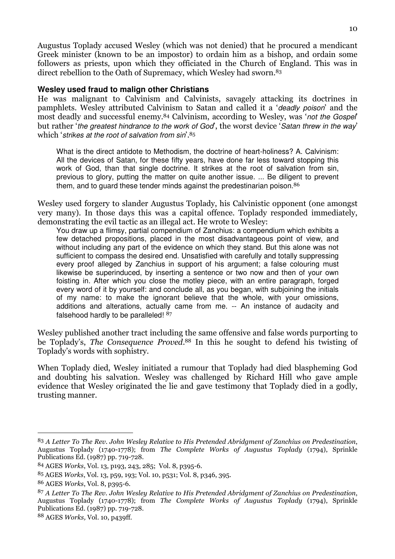Augustus Toplady accused Wesley (which was not denied) that he procured a mendicant Greek minister (known to be an impostor) to ordain him as a bishop, and ordain some followers as priests, upon which they officiated in the Church of England. This was in direct rebellion to the Oath of Supremacy, which Wesley had sworn.<sup>83</sup>

### **Wesley used fraud to malign other Christians**

He was malignant to Calvinism and Calvinists, savagely attacking its doctrines in pamphlets. Wesley attributed Calvinism to Satan and called it a 'deadly poison' and the most deadly and successful enemy.84 Calvinism, according to Wesley, was 'not the Gospel' but rather 'the greatest hindrance to the work of God', the worst device 'Satan threw in the way' which 'strikes at the root of salvation from sin'.85

What is the direct antidote to Methodism, the doctrine of heart-holiness? A. Calvinism: All the devices of Satan, for these fifty years, have done far less toward stopping this work of God, than that single doctrine. It strikes at the root of salvation from sin, previous to glory, putting the matter on quite another issue. ... Be diligent to prevent them, and to quard these tender minds against the predestinarian poison.<sup>86</sup>

Wesley used forgery to slander Augustus Toplady, his Calvinistic opponent (one amongst very many). In those days this was a capital offence. Toplady responded immediately, demonstrating the evil tactic as an illegal act. He wrote to Wesley:

You draw up a flimsy, partial compendium of Zanchius: a compendium which exhibits a few detached propositions, placed in the most disadvantageous point of view, and without including any part of the evidence on which they stand. But this alone was not sufficient to compass the desired end. Unsatisfied with carefully and totally suppressing every proof alleged by Zanchius in support of his argument; a false colouring must likewise be superinduced, by inserting a sentence or two now and then of your own foisting in. After which you close the motley piece, with an entire paragraph, forged every word of it by yourself: and conclude all, as you began, with subjoining the initials of my name: to make the ignorant believe that the whole, with your omissions, additions and alterations, actually came from me. -- An instance of audacity and falsehood hardly to be paralleled! 87

Wesley published another tract including the same offensive and false words purporting to be Toplady's, The Consequence Proved. <sup>88</sup> In this he sought to defend his twisting of Toplady's words with sophistry.

When Toplady died, Wesley initiated a rumour that Toplady had died blaspheming God and doubting his salvation. Wesley was challenged by Richard Hill who gave ample evidence that Wesley originated the lie and gave testimony that Toplady died in a godly, trusting manner.

<sup>83</sup> A Letter To The Rev. John Wesley Relative to His Pretended Abridgment of Zanchius on Predestination, Augustus Toplady (1740-1778); from The Complete Works of Augustus Toplady (1794), Sprinkle Publications Ed. (1987) pp. 719-728.

<sup>84</sup> AGES Works, Vol. 13, p193, 243, 285; Vol. 8, p395-6.

<sup>85</sup> AGES Works, Vol. 13, p59, 193; Vol. 10, p531; Vol. 8, p346, 395.

<sup>86</sup> AGES Works, Vol. 8, p395-6.

<sup>87</sup> A Letter To The Rev. John Wesley Relative to His Pretended Abridgment of Zanchius on Predestination, Augustus Toplady (1740-1778); from The Complete Works of Augustus Toplady (1794), Sprinkle Publications Ed. (1987) pp. 719-728.

<sup>88</sup> AGES Works, Vol. 10, p439ff.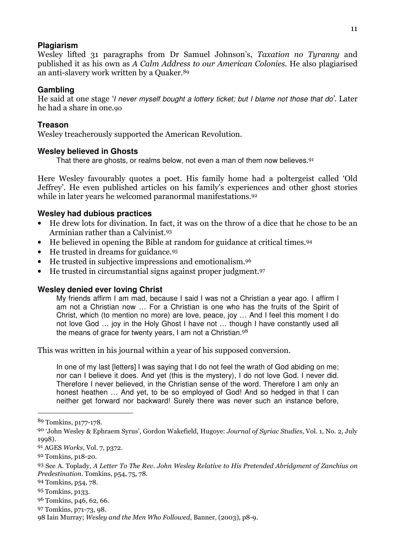### **Plagiarism**

Wesley lifted 31 paragraphs from Dr Samuel Johnson's, Taxation no Tyranny and published it as his own as A Calm Address to our American Colonies. He also plagiarised an anti-slavery work written by a Quaker.<sup>89</sup>

## **Gambling**

He said at one stage 'I never myself bought a lottery ticket; but I blame not those that do'. Later he had a share in one.90

## **Treason**

Wesley treacherously supported the American Revolution.

## **Wesley believed in Ghosts**

That there are ghosts, or realms below, not even a man of them now believes.<sup>91</sup>

Here Wesley favourably quotes a poet. His family home had a poltergeist called 'Old Jeffrey'. He even published articles on his family's experiences and other ghost stories while in later years he welcomed paranormal manifestations.<sup>92</sup>

## **Wesley had dubious practices**

- He drew lots for divination. In fact, it was on the throw of a dice that he chose to be an Arminian rather than a Calvinist.<sup>93</sup>
- He believed in opening the Bible at random for guidance at critical times.<sup>94</sup>
- He trusted in dreams for guidance. 95
- He trusted in subjective impressions and emotionalism.<sup>96</sup>
- He trusted in circumstantial signs against proper judgment. 97

## **Wesley denied ever loving Christ**

My friends affirm I am mad, because I said I was not a Christian a year ago. I affirm I am not a Christian now … For a Christian is one who has the fruits of the Spirit of Christ, which (to mention no more) are love, peace, joy … And I feel this moment I do not love God … joy in the Holy Ghost I have not … though I have constantly used all the means of grace for twenty years, I am not a Christian.<sup>98</sup>

This was written in his journal within a year of his supposed conversion.

In one of my last [letters] I was saying that I do not feel the wrath of God abiding on me; nor can I believe it does. And yet (this is the mystery), I do not love God. I never did. Therefore I never believed, in the Christian sense of the word. Therefore I am only an honest heathen ... And yet, to be so employed of God! And so hedged in that I can neither get forward nor backward! Surely there was never such an instance before,

I

<sup>89</sup> Tomkins, p177-178.

<sup>90</sup> 'John Wesley & Ephraem Syrus', Gordon Wakefield, Hugoye: Journal of Syriac Studies, Vol. 1, No. 2, July 1998).

<sup>91</sup> AGES Works, Vol. 7, p372.

<sup>92</sup> Tomkins, p18-20.

<sup>93</sup> See A. Toplady, A Letter To The Rev. John Wesley Relative to His Pretended Abridgment of Zanchius on Predestination. Tomkins, p54, 75, 78.

<sup>94</sup> Tomkins, p54, 78.

<sup>95</sup> Tomkins, p133.

<sup>96</sup> Tomkins, p46, 62, 66.

<sup>97</sup> Tomkins, p71-73, 98.

<sup>98</sup> Iain Murray; Wesley and the Men Who Followed, Banner, (2003), p8-9.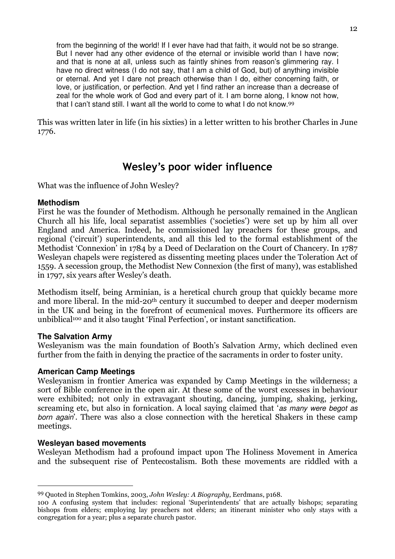from the beginning of the world! If I ever have had that faith, it would not be so strange. But I never had any other evidence of the eternal or invisible world than I have now; and that is none at all, unless such as faintly shines from reason's glimmering ray. I have no direct witness (I do not say, that I am a child of God, but) of anything invisible or eternal. And yet I dare not preach otherwise than I do, either concerning faith, or love, or justification, or perfection. And yet I find rather an increase than a decrease of zeal for the whole work of God and every part of it. I am borne along, I know not how, that I can't stand still. I want all the world to come to what I do not know.<sup>99</sup>

This was written later in life (in his sixties) in a letter written to his brother Charles in June 1776.

## Wesley's poor wider influence

What was the influence of John Wesley?

## **Methodism**

First he was the founder of Methodism. Although he personally remained in the Anglican Church all his life, local separatist assemblies ('societies') were set up by him all over England and America. Indeed, he commissioned lay preachers for these groups, and regional ('circuit') superintendents, and all this led to the formal establishment of the Methodist 'Connexion' in 1784 by a Deed of Declaration on the Court of Chancery. In 1787 Wesleyan chapels were registered as dissenting meeting places under the Toleration Act of 1559. A secession group, the Methodist New Connexion (the first of many), was established in 1797, six years after Wesley's death.

Methodism itself, being Arminian, is a heretical church group that quickly became more and more liberal. In the mid-20th century it succumbed to deeper and deeper modernism in the UK and being in the forefront of ecumenical moves. Furthermore its officers are unbiblical100 and it also taught 'Final Perfection', or instant sanctification.

## **The Salvation Army**

Wesleyanism was the main foundation of Booth's Salvation Army, which declined even further from the faith in denying the practice of the sacraments in order to foster unity.

## **American Camp Meetings**

Wesleyanism in frontier America was expanded by Camp Meetings in the wilderness; a sort of Bible conference in the open air. At these some of the worst excesses in behaviour were exhibited; not only in extravagant shouting, dancing, jumping, shaking, jerking, screaming etc, but also in fornication. A local saying claimed that 'as many were begot as born again'. There was also a close connection with the heretical Shakers in these camp meetings.

## **Wesleyan based movements**

I

Wesleyan Methodism had a profound impact upon The Holiness Movement in America and the subsequent rise of Pentecostalism. Both these movements are riddled with a

<sup>99</sup> Quoted in Stephen Tomkins, 2003, John Wesley: A Biography, Eerdmans, p168.

<sup>100</sup> A confusing system that includes: regional 'Superintendents' that are actually bishops; separating bishops from elders; employing lay preachers not elders; an itinerant minister who only stays with a congregation for a year; plus a separate church pastor.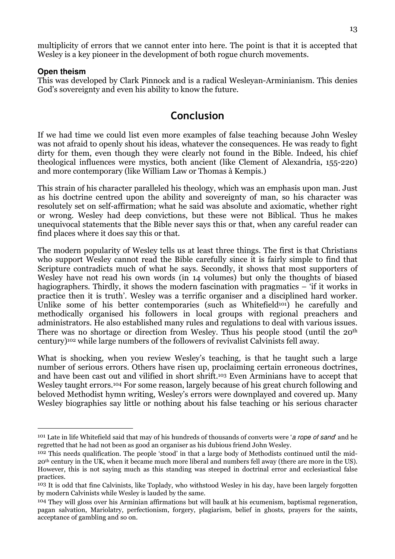multiplicity of errors that we cannot enter into here. The point is that it is accepted that Wesley is a key pioneer in the development of both rogue church movements.

#### **Open theism**

 $\overline{a}$ 

This was developed by Clark Pinnock and is a radical Wesleyan-Arminianism. This denies God's sovereignty and even his ability to know the future.

## Conclusion

If we had time we could list even more examples of false teaching because John Wesley was not afraid to openly shout his ideas, whatever the consequences. He was ready to fight dirty for them, even though they were clearly not found in the Bible. Indeed, his chief theological influences were mystics, both ancient (like Clement of Alexandria, 155-220) and more contemporary (like William Law or Thomas à Kempis.)

This strain of his character paralleled his theology, which was an emphasis upon man. Just as his doctrine centred upon the ability and sovereignty of man, so his character was resolutely set on self-affirmation; what he said was absolute and axiomatic, whether right or wrong. Wesley had deep convictions, but these were not Biblical. Thus he makes unequivocal statements that the Bible never says this or that, when any careful reader can find places where it does say this or that.

The modern popularity of Wesley tells us at least three things. The first is that Christians who support Wesley cannot read the Bible carefully since it is fairly simple to find that Scripture contradicts much of what he says. Secondly, it shows that most supporters of Wesley have not read his own words (in 14 volumes) but only the thoughts of biased hagiographers. Thirdly, it shows the modern fascination with pragmatics – 'if it works in practice then it is truth'. Wesley was a terrific organiser and a disciplined hard worker. Unlike some of his better contemporaries (such as Whitefield<sup>101</sup>) he carefully and methodically organised his followers in local groups with regional preachers and administrators. He also established many rules and regulations to deal with various issues. There was no shortage or direction from Wesley. Thus his people stood (until the 20th century)102 while large numbers of the followers of revivalist Calvinists fell away.

What is shocking, when you review Wesley's teaching, is that he taught such a large number of serious errors. Others have risen up, proclaiming certain erroneous doctrines, and have been cast out and vilified in short shrift. <sup>103</sup> Even Arminians have to accept that Wesley taught errors.<sup>104</sup> For some reason, largely because of his great church following and beloved Methodist hymn writing, Wesley's errors were downplayed and covered up. Many Wesley biographies say little or nothing about his false teaching or his serious character

<sup>&</sup>lt;sup>101</sup> Late in life Whitefield said that may of his hundreds of thousands of converts were 'a rope of sand' and he regretted that he had not been as good an organiser as his dubious friend John Wesley.

<sup>102</sup> This needs qualification. The people 'stood' in that a large body of Methodists continued until the mid-20th century in the UK, when it became much more liberal and numbers fell away (there are more in the US). However, this is not saying much as this standing was steeped in doctrinal error and ecclesiastical false practices.

<sup>103</sup> It is odd that fine Calvinists, like Toplady, who withstood Wesley in his day, have been largely forgotten by modern Calvinists while Wesley is lauded by the same.

<sup>104</sup> They will gloss over his Arminian affirmations but will baulk at his ecumenism, baptismal regeneration, pagan salvation, Mariolatry, perfectionism, forgery, plagiarism, belief in ghosts, prayers for the saints, acceptance of gambling and so on.